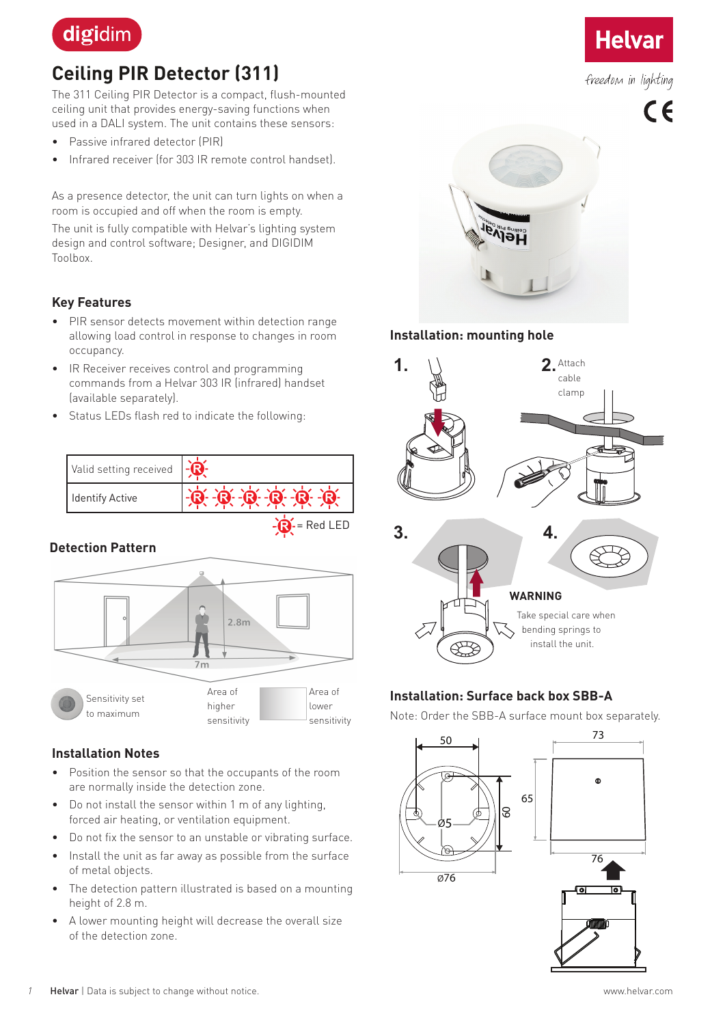

# **Ceiling PIR Detector (311)**

The 311 Ceiling PIR Detector is a compact, flush-mounted ceiling unit that provides energy-saving functions when used in a DALI system. The unit contains these sensors:

- Passive infrared detector (PIR)
- Infrared receiver (for 303 IR remote control handset).

As a presence detector, the unit can turn lights on when a room is occupied and off when the room is empty.

The unit is fully compatible with Helvar's lighting system design and control software; Designer, and DIGIDIM Toolbox.

# **Key Features**

- PIR sensor detects movement within detection range allowing load control in response to changes in room occupancy.
- IR Receiver receives control and programming commands from a Helvar 303 IR (infrared) handset (available separately).
- Status LEDs flash red to indicate the following:



# **Detection Pattern**



# **Installation Notes**

- Position the sensor so that the occupants of the room are normally inside the detection zone.
- Do not install the sensor within 1 m of any lighting, forced air heating, or ventilation equipment.
- Do not fix the sensor to an unstable or vibrating surface.
- Install the unit as far away as possible from the surface of metal objects.
- The detection pattern illustrated is based on a mounting height of 2.8 m.
- A lower mounting height will decrease the overall size of the detection zone.



freedom in lighting



# **Installation: mounting hole**



# **Installation: Surface back box SBB-A**

Note: Order the SBB-A surface mount box separately.